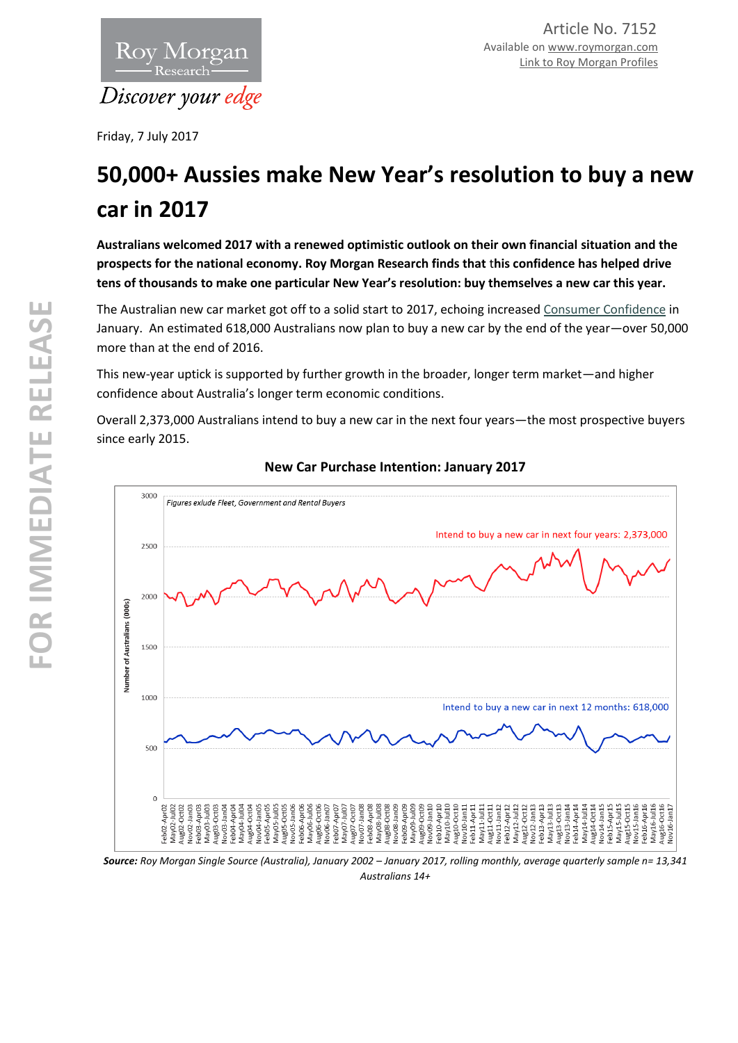

Friday, 7 July 2017

# **50,000+ Aussies make New Year's resolution to buy a new car in 2017**

**Australians welcomed 2017 with a renewed optimistic outlook on their own financial situation and the prospects for the national economy. Roy Morgan Research finds that** t**his confidence has helped drive tens of thousands to make one particular New Year's resolution: buy themselves a new car this year.** 

The Australian new car market got off to a solid start to 2017, echoing increased [Consumer Confidence](http://roymorgan.com.au/findings/7090-anz-roy-morgan-australian-consumer-confidence-january-10-2017-201701101213) in January. An estimated 618,000 Australians now plan to buy a new car by the end of the year—over 50,000 more than at the end of 2016.

This new-year uptick is supported by further growth in the broader, longer term market—and higher confidence about Australia's longer term economic conditions.

Overall 2,373,000 Australians intend to buy a new car in the next four years—the most prospective buyers since early 2015.



## **New Car Purchase Intention: January 2017**

Source: Roy Morgan Single Source (Australia), January 2002 – January 2017, rolling monthly, average quarterly sample n= 13,341 *Australians 14+*